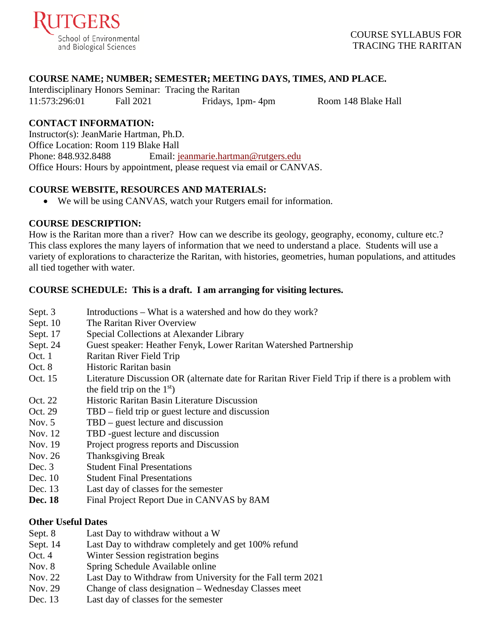

## **COURSE NAME; NUMBER; SEMESTER; MEETING DAYS, TIMES, AND PLACE.**

Interdisciplinary Honors Seminar: Tracing the Raritan 11:573:296:01 Fall 2021 Fridays, 1pm- 4pm Room 148 Blake Hall

## **CONTACT INFORMATION:**

Instructor(s): JeanMarie Hartman, Ph.D. Office Location: Room 119 Blake Hall Phone: 848.932.8488 Email: [jeanmarie.hartman@rutgers.edu](mailto:jeanmarie.hartman@rutgers.edu) Office Hours: Hours by appointment, please request via email or CANVAS.

## **COURSE WEBSITE, RESOURCES AND MATERIALS:**

• We will be using CANVAS, watch your Rutgers email for information.

## **COURSE DESCRIPTION:**

How is the Raritan more than a river? How can we describe its geology, geography, economy, culture etc.? This class explores the many layers of information that we need to understand a place. Students will use a variety of explorations to characterize the Raritan, with histories, geometries, human populations, and attitudes all tied together with water.

## **COURSE SCHEDULE: This is a draft. I am arranging for visiting lectures.**

- Sept. 3 Introductions What is a watershed and how do they work?
- Sept. 10 The Raritan River Overview
- Sept. 17 Special Collections at Alexander Library
- Sept. 24 Guest speaker: Heather Fenyk, Lower Raritan Watershed Partnership
- Oct. 1 Raritan River Field Trip
- Oct. 8 Historic Raritan basin
- Oct. 15 Literature Discussion OR (alternate date for Raritan River Field Trip if there is a problem with the field trip on the  $1<sup>st</sup>$ )
- Oct. 22 Historic Raritan Basin Literature Discussion
- Oct. 29 TBD field trip or guest lecture and discussion
- Nov. 5 TBD guest lecture and discussion
- Nov. 12 TBD -guest lecture and discussion
- Nov. 19 Project progress reports and Discussion
- Nov. 26 Thanksgiving Break
- Dec. 3 Student Final Presentations
- Dec. 10 Student Final Presentations
- Dec. 13 Last day of classes for the semester
- **Dec. 18** Final Project Report Due in CANVAS by 8AM

## **Other Useful Dates**

- Sept. 8 Last Day to withdraw without a W
- Sept. 14 Last Day to withdraw completely and get 100% refund
- Oct. 4 Winter Session registration begins
- Nov. 8 Spring Schedule Available online
- Nov. 22 Last Day to Withdraw from University for the Fall term 2021
- Nov. 29 Change of class designation Wednesday Classes meet
- Dec. 13 Last day of classes for the semester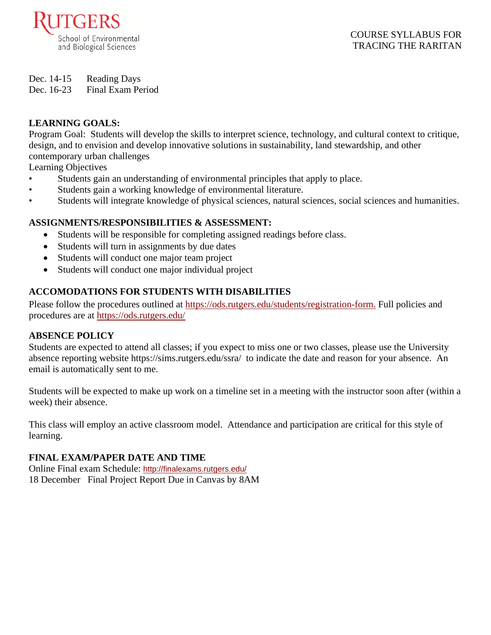

## COURSE SYLLABUS FOR TRACING THE RARITAN

Dec. 14-15 Reading Days

Dec. 16-23 Final Exam Period

# **LEARNING GOALS:**

Program Goal: Students will develop the skills to interpret science, technology, and cultural context to critique, design, and to envision and develop innovative solutions in sustainability, land stewardship, and other contemporary urban challenges

Learning Objectives

- Students gain an understanding of environmental principles that apply to place.
- Students gain a working knowledge of environmental literature.
- Students will integrate knowledge of physical sciences, natural sciences, social sciences and humanities.

# **ASSIGNMENTS/RESPONSIBILITIES & ASSESSMENT:**

- Students will be responsible for completing assigned readings before class.
- Students will turn in assignments by due dates
- Students will conduct one major team project
- Students will conduct one major individual project

# **ACCOMODATIONS FOR STUDENTS WITH DISABILITIES**

Please follow the procedures outlined at [https://ods.rutgers.edu/students/registration-form.](https://ods.rutgers.edu/students/registration-form) Full policies and procedures are at<https://ods.rutgers.edu/>

# **ABSENCE POLICY**

Students are expected to attend all classes; if you expect to miss one or two classes, please use the University absence reporting website<https://sims.rutgers.edu/ssra/>to indicate the date and reason for your absence. An email is automatically sent to me.

Students will be expected to make up work on a timeline set in a meeting with the instructor soon after (within a week) their absence.

This class will employ an active classroom model. Attendance and participation are critical for this style of learning.

# **FINAL EXAM/PAPER DATE AND TIME**

Online Final exam Schedule: <http://finalexams.rutgers.edu/> 18 December Final Project Report Due in Canvas by 8AM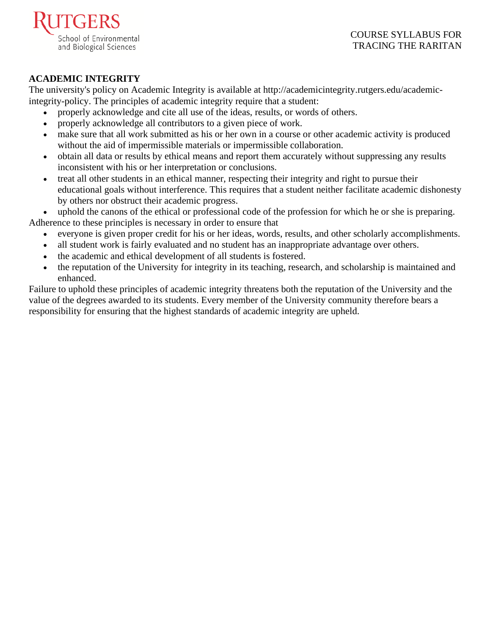

## COURSE SYLLABUS FOR TRACING THE RARITAN

# **ACADEMIC INTEGRITY**

The university's policy on Academic Integrity is available at [http://academicintegrity.rutgers.edu/academic](http://academicintegrity.rutgers.edu/academic-integrity-policy)[integrity-policy.](http://academicintegrity.rutgers.edu/academic-integrity-policy) The principles of academic integrity require that a student:

- properly acknowledge and cite all use of the ideas, results, or words of others.
- properly acknowledge all contributors to a given piece of work.
- make sure that all work submitted as his or her own in a course or other academic activity is produced without the aid of impermissible materials or impermissible collaboration.
- obtain all data or results by ethical means and report them accurately without suppressing any results inconsistent with his or her interpretation or conclusions.
- treat all other students in an ethical manner, respecting their integrity and right to pursue their educational goals without interference. This requires that a student neither facilitate academic dishonesty by others nor obstruct their academic progress.

uphold the canons of the ethical or professional code of the profession for which he or she is preparing. Adherence to these principles is necessary in order to ensure that

- everyone is given proper credit for his or her ideas, words, results, and other scholarly accomplishments.
- all student work is fairly evaluated and no student has an inappropriate advantage over others.
- the academic and ethical development of all students is fostered.
- the reputation of the University for integrity in its teaching, research, and scholarship is maintained and enhanced.

Failure to uphold these principles of academic integrity threatens both the reputation of the University and the value of the degrees awarded to its students. Every member of the University community therefore bears a responsibility for ensuring that the highest standards of academic integrity are upheld.